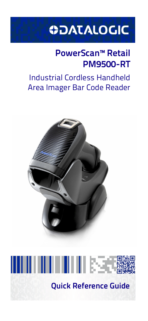# **ODATALOGIC**

# **PowerScan™ Retail PM9500-RT**

# Industrial Cordless Handheld Area Imager Bar Code Reader





**Quick Reference Guide**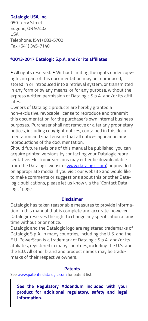### **Datalogic USA, Inc.**

959 Terry Street Eugene, OR 97402 USA Telephone: (541) 683-5700 Fax: (541) 345-7140

### **©2013-2017 Datalogic S.p.A. and/or its affiliates**

 All rights reserved. Without limiting the rights under copyright, no part of this documentation may be reproduced, stored in or introduced into a retrieval system, or transmitted in any form or by any means, or for any purpose, without the express written permission of Datalogic S.p.A. and/or its affiliates.

Owners of Datalogic products are hereby granted a non-exclusive, revocable license to reproduce and transmit this documentation for the purchaser's own internal business purposes. Purchaser shall not remove or alter any proprietary notices, including copyright notices, contained in this documentation and shall ensure that all notices appear on any reproductions of the documentation.

Should future revisions of this manual be published, you can acquire printed versions by contacting your Datalogic representative. Electronic versions may either be downloadable from the Datalogic website (<www.datalogic.com>) or provided on appropriate media. If you visit our website and would like to make comments or suggestions about this or other Datalogic publications, please let us know via the "Contact Datalogic" page.

### **Disclaimer**

Datalogic has taken reasonable measures to provide information in this manual that is complete and accurate, however, Datalogic reserves the right to change any specification at any time without prior notice.

Datalogic and the Datalogic logo are registered trademarks of Datalogic S.p.A. in many countries, including the U.S. and the E.U. PowerScan is a trademark of Datalogic S.p.A. and/or its affiliates, registered in many countries, including the U.S. and the E.U. All other brand and product names may be trademarks of their respective owners.

### **Patents**

See [www.patents.datalogic.com](http://www.patents.datalogic.com) for patent list.

**See the Regulatory Addendum included with your product for additional regulatory, safety and legal information.**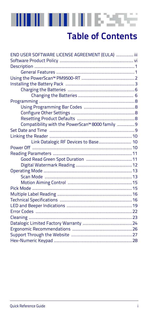### шшшкээ e.

# **Table of Contents**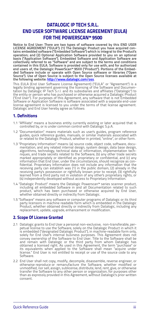### <span id="page-4-0"></span>**DATALOGIC IP TECH S.R.L. END USER SOFTWARE LICENSE AGREEMENT (EULA) FOR THE POWERSCAN™ 9500**

**Notice to End User: There are two types of software covered by this END USER LICENSE AGREEMENT ("EULA"): (1) The Datalogic Product you have acquired con-tains embedded software ("Embedded Software") which is integral to the Product's operation; and (2) Optional Application Software provided to you on an optional basis ("Application Software"). Embedded Software and Application Software are collectively referred to as "Software" and are subject to the terms and conditions contained in this EULA. Software is provided only for use with, and for authorized end users of, the Datalogic PowerScan™ 95XX ("Product"). Portions of the Embed-ded Software include or operate with Open Source software or libraries ("Open Source"). Use of Open Source is subject to the Open Source licenses available at the following website: <http://www.datalogic.com/oss>**.

This EULA (End User Software License Agreement) ("EULA" or "Agreement") is a legally binding agreement governing the licensing of the Software and Documen-tation by Datalogic IP Tech S.r.l. and its subsidiaries and affiliates ("Datalogic") to the entity or person who has purchased or otherwise acquired a Datalogic Product ("End User"). For purposes of this Agreement, any software that is not Embedded Software or Application Software is software associated with a separate end-user license agreement is licensed to you under the terms of that license agreement. Datalogic and End User hereby agree as follows:

#### **1. Definitions**

- 1.1 "Affiliate" means a business entity currently existing or later acquired that is controlled by, or is under common control with Datalogic S.p.A.
- 1.2 "Documentation" means materials such as user's guides, program reference guides, quick reference guides, manuals, or similar materials associated with or related to the Datalogic Product, whether in printed, "online", or other form.
- 1.3 "Proprietary Information" means: (a) source code, object code, software, documentation, and any related internal design, system design, data base design, algorithms, technology, technical data or information, implementation techniques, and trade secrets related to the Software, (b) any other trade secrets marked appropriately or identified as proprietary or confidential, and (c) any information that End User, under the circumstances, should recognize as confidential. Proprietary Information does not include any information that the receiving party can establish was (1) in the public domain, (2) already in the receiving party's possession or rightfully known prior to receipt, (3) rightfully learned from a third party not in violation of any other's proprietary rights, or (4) independently developed without access to Proprietary Information.
- 1.4 "Datalogic Product" means the Datalogic Powerscan™ series scanner product, including all embedded Software in and all Documentation related to such product, which has been purchased or otherwise acquired by End User, whether obtained directly or indirectly from Datalogic.
- 1.5 "Software" means any software or computer programs of Datalogic or its third party licensors in machine readable form which is embedded in the Datalogic Product, whether obtained directly or indirectly from Datalogic, including any replacement, update, upgrade, enhancement or modification.

#### **2. Scope Of License Granted**

- 2.1 Datalogic grants to End User a personal non-exclusive, non-transferable, perpetual license to use the Software, solely on the Datalogic Product in which it is embedded ("designated Datalogic Product"), in machine-readable form only, solely for End User's internal business purposes. This Agreement does not convey ownership of the Software to End User. Title to the Software shall be and remain with Datalogic or the third party from whom Datalogic has obtained a licensed right. As used in this Agreement, the term "purchase" or its equivalents when applied to the Software shall mean "acquire under license." End User is not entitled to receipt or use of the source code to any Software.
- 2.2 End User shall not copy, modify, decompile, disassemble, reverse engineer, or otherwise reproduce or remanufacture the Software, whether modified or unmodified, nor sell, assign, sublicense, distribute, lend, rent, give, or otherwise transfer the Software to any other person or organization, for purposes other than as expressly provided in this Agreement, without Datalogic's prior written consent.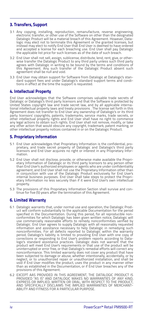#### **3. Transfers, Support**

- 3.1 Any copying, installing, reproduction, remanufacture, reverse engineering, electronic transfer, or other use of the Software on other than the designated Datalogic Product will be a material breach of this Agreement. However, Datalogic may elect not to terminate this Agreement or the granted licenses, but instead may elect to notify End User that End User is deemed to have ordered and accepted a license for each breaching use. End User shall pay Datalogic the applicable list price for such licenses as of the date of such breach.
- 3.2 End User shall not sell, assign, sublicense, distribute, lend, rent, give, or other-wise transfer the Datalogic Product to any third party unless such third party agrees with Datalogic in writing to be bound by the terms and conditions of this Agreement. Any such transfer of the Datalogic Product absent such agreement shall be null and void.
- 3.3 End User may obtain support for Software from Datalogic at Datalogic's standard support fees and under Datalogic's standard support terms and conditions in effect at the time the support is requested.

#### **4. Intellectual Property**

End User acknowledges that the Software comprises valuable trade secrets of Datalogic or Datalogic's third party licensors and that the Software is protected by United States copyright law and trade secret law, and by all applicable international intellectual property laws and treaty provisions . The license set forth in this Agreement does not transfer to End User any ownership of Datalogic's or its third party licensors' copyrights, patents, trademarks, service marks, trade secrets, or other intellectual property rights and End User shall have no right to commence any legal actions to obtain such rights. End User shall not remove, modify, or take any other action that would obscure any copyright, trademark, patent marking, or other intellectual property notices contained in or on the Datalogic Product.

#### **5. Proprietary Information**

- 5.1 End User acknowledges that Proprietary Information is the confidential, pro-<br>prietary, and trade secret property of Datalogic and Datalogic's third party<br>licensors and End User acquires no right or interest in any Prop mation.
- 5.2 End User shall not disclose, provide, or otherwise make available the Proprietary Information of Datalogic or its third party licensors to any person other than End User's authorized employees or agents who are under confidentiality agreement, and End User shall not use the Proprietary Information other than in conjunction with use of the Datalogic Product exclusively for End User's internal business purposes. End User shall take steps to protect the Proprietary Information no less securely than if it were End User's own intellectual property.
- 5.3 The provisions of this Proprietary Information Section shall survive and continue for five (5) years after the termination of this Agreement.

#### **6. Limited Warranty**

- 6.1 Datalogic warrants that, under normal use and operation, the Datalogic Product will conform substantially to the applicable Documentation for the period specified in the Documentation. During this period, for all reproducible non-conformities for which Datalogic has been given written notice, Datalogic will use commercially reasonable efforts to remedy nonconformities verified by Datalogic. End User agrees to supply Datalogic with all reasonably requested information and assistance necessary to help Datalogic in remedying such nonconformities. For all defects reported to Datalogic within the warranty period, Datalogic's liability is limited to providing End User with one copy of corrections or responding to End User's problem reports according to Datalogic's standard assistance practices. Datalogic does not warrant that the product will meet End User's requirements or that use of the product will be uninterrupted or error free, or that Datalogic's remedial efforts will correct any nonconformance. This limited warranty does not cover any product that have been subjected to damage or abuse, whether intentionally, accidentally, or by neglect, or to unauthorized repair or unauthorized installation, and shall be void if End User modifies the product, uses the product in any manner other than as established in the Documentation, or if End User breaches any of the provisions of this Agreement.
- 6.2 EXCEPT AAS PROVIDED IN THIS AGREEMENT, THE DATALOGIC PRODUCT IS<br>PROVIDED "AS IS" AND DATALOGIC MAKES NO WARRANTIES OF ANY KIND,<br>EXPRESS OR IMPLIED, WRITTEN OR ORAL, WITH RESPECT TO THE PRODUCT,<br>ABILITY AND FITNESS FOR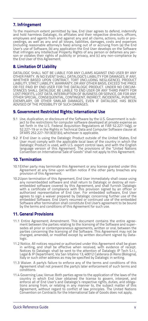#### **7. Infringement**

To the maximum extent permitted by law, End User agrees to defend, indemnify and hold harmless Datalogic, its affiliates and their respective directors, officers, employees and agents from and against any and all claims, actions, suits or proceedings, as well as any and all losses, liabilities, damages, costs and expenses (including reasonable attorney's fees) arising out of or accruing from (a) the End<br>User's use of Software, (b) any application the End User develops on the Software<br>that infringes any Intellectual Property Rights of any pe son or violates their rights of publicity or privacy, and (c) any non-compliance by the End User of this Agreement.

#### **8. Limitation Of Liability**

DATALOGIC SHALL NOT BE LIABLE FOR ANY CLAIMS AGAINST END USER BY ANY OTHER PARTY. IN NO EVENT SHALL DATALOGIC'S LIABILITY FOR DAMAGES, IF ANY, WHETHER BASED UPON CONTRACT, TORT (INCLUDING NEGLIGENCE), PRODUCT LIABILITY, STRICT LIABILITY, WARRANTY, OR ANY OTHER BASIS, EXCEED THE PRICE<br>OR FEE PAID BY END USER FOR THE DATALOGIC PRODUCT. UNDER NO CIRCUM-<br>STANCES SHALL DATALOGIC BE LIABLE TO END USER OR ANY THIRD PARTY FOR LOST PROFITS, LOST DATA, INTERRUPTION OF BUSINESS OR SERVICE, OR FOR ANY OTHER SPECIAL, CONSEQUENTIAL, CONTINGENT, INDIRECT, INCIDENTAL, PUNITIVE,<br>EXEMPLARY, OR OTHER SIMILAR DAMAGES, EVEN IF DATALOGIC HAS BEEN<br>ADVISED OF THE POSSIBILITY OF SUCH DAMAGES.

#### **9. Government Restricted Rights; International Use**

- 9.1 Use, duplication, or disclosure of the Software by the U.S. Government is subject to the restrictions for computer software developed at private expense as<br>set forth in the U.S. Federal Acquisition Regulations at FAR 52.227-14(g), or<br>52.227-19 or in the Rights in Technical Data and Computer Softwar DFARS 252.227-7013(c)(1)(ii), whichever is applicable.
- 9.2 If End User is using the Datalogic Product outside of the United States, End User must comply with the applicable local laws of the country in which the<br>Datalogic Product is used, with U.S. export control laws, and with the English<br>language version of this Agreement. The provisions of the "United N

#### **10. Termination**

- 10.1Either party may terminate this Agreement or any license granted under this Agreement at any time upon written notice if the other party breaches any provision of this Agreement.
- 10.2Upon termination of this Agreement, End User immediately shall cease using any nonembedded software and shall return to Datalogic or destroy all nonembedded software covered by this Agreement, and shall furnish Datalogic with a certificate of compliance with this provision signed by an officer or authorized representative of End User. For embedded software, End User agrees to sign a waiver prepared by Datalogic concerning further use of the embedded Software. End User's resumed or continued use of the embedded Software after termination shall constitute End User's agreement to be bound by the terms and conditions of this Agreement for such use.

#### **11. General Provisions**

- 11.1 Entire Agreement; Amendment. This document contains the entire agreement between the parties relating to the licensing of the Software and supersedes all prior or contemporaneous agreements, written or oral, between the parties concerning the licensing of the Software. This Agreement may not be changed, amended, or modified except by written document signed by Datalogic.
- 11.2 Notice. All notices required or authorized under this Agreement shall be given in writing, and shall be effective when received, with evidence of receipt. Notices to Datalogic shall be sent to the attention of Datalogic IP Tech S.r.l., Legal & IP Department, Via San Vitalino 13, 40012 Calderara di Reno (Bologna), Italy or such other address as may be specified by Datalogic in writing.
- 11.3 Waiver. A party's failure to enforce any of the terms and conditions of this Agreement shall not prevent the party's later enforcement of such terms and conditions.
- 11.4 Governing Law; Venue: Both parties agree to the application of the laws of the<br>country in which End User obtained the license to govern, interpret, and<br>enforce all of End User's and Datalogic's respective rights, duti tions arising from, or relating in any manner to, the subject matter of this Agreement, without regard to conflict of law principles. The United Nations Convention on Contracts for the International Sale of Goods does not apply.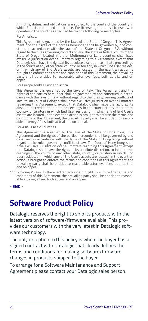All rights, duties, and obligations are subject to the courts of the country in which End User obtained the license. For licenses granted by Licensee who operates in the countries specified below, the following terms applies.

#### For Americas.

This Agreement is governed by the laws of the State of Oregon. This Agreement and the rights of the parties hereunder shall be governed by and con-strued in accordance with the laws of the State of Oregon U.S.A, without regard to the rules governing conflicts of law. The state or federal courts of the State of Oregon located in either Multnomah or Lane counties shall have exclusive jurisdiction over all matters regarding this Agreement, except that Datalogic shall have the right, at its absolute discretion, to initiate proceedings in the courts of any other state, country, or territory in which End User resides, or in which any of End User's assets are located. In the event an action is or in which any of End User's assets are located. In the event an action is brought to enforce the terms and conditions of this Agreement, the prevailing party shall be entitled to reasonable attorneys' fees, both at trial and on appeal.

#### For Europe, Middle East and Africa

This Agreement is governed by the laws of Italy. This Agreement and the rights of the parties hereunder shall be governed by and construed in accordance with the laws of Italy, without regard to the rules governing conflicts of law. Italian Court of Bologna shall have exclusive jurisdiction over all matters regarding this Agreement, except that Datalogic shall have the right, at its absolute discretion, to initiate proceedings in the courts of any other state, country, or territory in which End User resides, or in which any of End User's assets are located. In the event an action is brought to enforce the terms and conditions of this Agreement, the prevailing party shall be entitled to reason-able attorneys' fees, both at trial and on appeal.

#### For Asia- Pacific Countries

This Agreement is governed by the laws of the State of Hong Kong. This Agreement and the rights of the parties hereunder shall be governed by and construed in accordance with the laws of the State of Hong Kong without regard to the rules governing conflicts of law. The Court of Hong Kong shall have exclusive jurisdiction over all matters regarding this Agreement, except that Datalogic shall have the right, at its absolute discretion, to initiate pro-ceedings in the courts of any other state, country, or territory in which End User resides, or in which any of End User's assets are located. In the event an action is brought to enforce the terms and conditions of this Agreement, the prevailing party shall be entitled to reasonable attorneys' fees, both at trial and on appeal.

11.5 Attorneys' Fees. In the event an action is brought to enforce the terms and conditions of this Agreement, the prevailing party shall be entitled to reasonable attorneys' fees, both at trial and on appeal.

### <span id="page-7-0"></span>**Software Product Policy**

Datalogic reserves the right to ship its products with the latest version of software/firmware available. This provides our customers with the very latest in Datalogic software technology.

The only exception to this policy is when the buyer has a signed contract with Datalogic that clearly defines the terms and conditions for making software/firmware changes in products shipped to the buyer.

To arrange for a Software Maintenance and Support Agreement please contact your Datalogic sales person.

**<sup>-</sup> END -**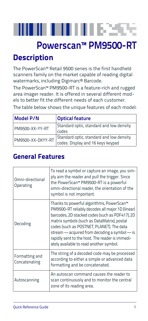# HH H H H 1823

# **Powerscan™ PM9500-RT**

## <span id="page-8-0"></span>**Description**

The PowerScan™ Retail 9500 series is the first handheld scanners family on the market capable of reading digital watermarks, including Digimarc® Barcode.

The PowerScan™ PM9500-RT is a feature-rich and rugged area imager reader. It is offered in several different models to better fit the different needs of each customer.

The table below shows the unique features of each model:

| Model P/N         | <b>Optical feature</b>                   |  |
|-------------------|------------------------------------------|--|
| PM9500-XX-YY-RT   | Standard optic, standard and low density |  |
|                   | codes                                    |  |
| PM9500-XX-DKYY-RT | Standard optic, standard and low density |  |
|                   | codes. Display and 16 keys keypad        |  |

### <span id="page-8-1"></span>**General Features**

| Omni-directional<br>Operating   | To read a symbol or capture an image, you sim-<br>ply aim the reader and pull the trigger. Since<br>the PowerScan™ PM9500-RT is a powerful<br>omni-directional reader, the orientation of the<br>symbol is not important.                                                                                                                                                                   |
|---------------------------------|---------------------------------------------------------------------------------------------------------------------------------------------------------------------------------------------------------------------------------------------------------------------------------------------------------------------------------------------------------------------------------------------|
| Decoding                        | Thanks to powerful algorithms, PowerScan™<br>PM9500-RT reliably decodes all major 1D (linear)<br>barcodes, 2D stacked codes (such as PDF417), 2D<br>matrix symbols (such as DataMatrix), postal<br>codes (such as POSTNET, PLANET). The data<br>stream — acquired from decoding a symbol — is<br>rapidly sent to the host. The reader is immedi-<br>ately available to read another symbol. |
| Formatting and<br>Concatenating | The string of a decoded code may be processed<br>according to either a simple or advanced data<br>formatting and be concatenated.                                                                                                                                                                                                                                                           |
| Autoscanning                    | An autoscan command causes the reader to<br>scan continuously and to monitor the central<br>zone of its reading area.                                                                                                                                                                                                                                                                       |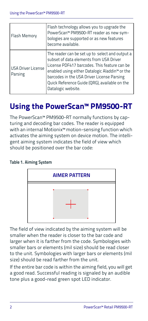| <b>Flash Memory</b>                  | Flash technology allows you to upgrade the<br>PowerScan™ PM9500-RT reader as new sym-<br>bologies are supported or as new features<br>become available.                                                                                                                                                                       |
|--------------------------------------|-------------------------------------------------------------------------------------------------------------------------------------------------------------------------------------------------------------------------------------------------------------------------------------------------------------------------------|
| <b>USA Driver License</b><br>Parsing | The reader can be set up to select and output a<br>subset of data elements from USA Driver<br>License PDF417 barcodes. This feature can be<br>enabled using either Datalogic Aladdin <sup>™</sup> or the<br>barcodes in the USA Driver License Parsing<br>Quick Reference Guide (QRG), available on the<br>Datalogic website. |

# <span id="page-9-0"></span>**Using the PowerScan™ PM9500-RT**

The PowerScan™ PM9500-RT normally functions by capturing and decoding bar codes. The reader is equipped with an internal Motionix™ motion-sensing function which activates the aiming system on device motion. The intelligent aiming system indicates the field of view which should be positioned over the bar code:

### **Table 1. Aiming System**



The field of view indicated by the aiming system will be smaller when the reader is closer to the bar code and larger when it is farther from the code. Symbologies with smaller bars or elements (mil size) should be read closer to the unit. Symbologies with larger bars or elements (mil size) should be read farther from the unit.

If the entire bar code is within the aiming field, you will get a good read. Successful reading is signaled by an audible tone plus a good-read green spot LED indicator.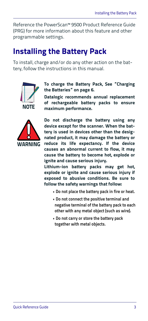Reference the PowerScan™ 9500 Product Reference Guide (PRG) for more information about this feature and other programmable settings.

### <span id="page-10-0"></span>**Installing the Battery Pack**

To install, charge and/or do any other action on the battery, follow the instructions in this manual.



**To charge the Battery Pack, [See "Charging](#page-13-0) [the Batteries" on page 6.](#page-13-0)**

**Datalogic recommends annual replacement of rechargeable battery packs to ensure maximum performance.**



**Do not discharge the battery using any device except for the scanner. When the battery is used in devices other than the designated product, it may damage the battery or reduce its life expectancy. If the device causes an abnormal current to flow, it may cause the battery to become hot, explode or ignite and cause serious injury.**

**Lithium-ion battery packs may get hot, explode or ignite and cause serious injury if exposed to abusive conditions. Be sure to follow the safety warnings that follow:**

- **Do not place the battery pack in fire or heat.**
- **Do not connect the positive terminal and negative terminal of the battery pack to each other with any metal object (such as wire).**
- **Do not carry or store the battery pack together with metal objects.**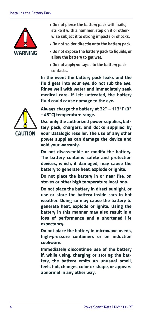

- **Do not pierce the battery pack with nails, strike it with a hammer, step on it or otherwise subject it to strong impacts or shocks.**
- **Do not solder directly onto the battery pack.**
- **Do not expose the battery pack to liquids, or allow the battery to get wet.**
- **Do not apply voltages to the battery pack contacts.**

**In the event the battery pack leaks and the fluid gets into your eye, do not rub the eye. Rinse well with water and immediately seek medical care. If left untreated, the battery fluid could cause damage to the eye.**

**Always charge the battery at 32° – 113°F (0° - 45°C) temperature range.**

**Use only the authorized power supplies, battery pack, chargers, and docks supplied by your Datalogic reseller. The use of any other power supplies can damage the device and void your warranty.** 

**Do not disassemble or modify the battery. The battery contains safety and protection devices, which, if damaged, may cause the battery to generate heat, explode or ignite.**

**Do not place the battery in or near fire, on stoves or other high temperature locations.**

**Do not place the battery in direct sunlight, or use or store the battery inside cars in hot weather. Doing so may cause the battery to generate heat, explode or ignite. Using the battery in this manner may also result in a loss of performance and a shortened life expectancy.**

**Do not place the battery in microwave ovens, high-pressure containers or on induction cookware.**

**Immediately discontinue use of the battery if, while using, charging or storing the battery, the battery emits an unusual smell, feels hot, changes color or shape, or appears abnormal in any other way.**

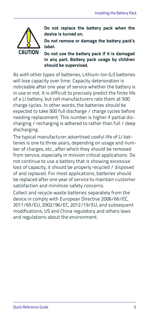

**Do not replace the battery pack when the device is turned on.** 

**Do not remove or damage the battery pack's label.** 

**Do not use the battery pack if it is damaged in any part. Battery pack usage by children should be supervised.** 

As with other types of batteries, Lithium-Ion (LI) batteries will lose capacity over time. Capacity deterioration is noticeable after one year of service whether the battery is in use or not. It is difficult to precisely predict the finite life of a LI battery, but cell manufacturers rate them at 500 charge cycles. In other words, the batteries should be expected to take 500 full discharge / charge cycles before needing replacement. This number is higher if partial discharging / recharging is adhered to rather than full / deep discharging.

The typical manufacturer advertised useful life of LI batteries is one to three years, depending on usage and number of charges, etc., after which they should be removed from service, especially in mission critical applications. Do not continue to use a battery that is showing excessive loss of capacity, it should be properly recycled / disposed of and replaced. For most applications, batteries should be replaced after one year of service to maintain customer satisfaction and minimize safety concerns.

Collect and recycle waste batteries separately from the device in comply with European Directive 2006/66/EC, 2011/65/EU, 2002/96/EC, 2012/19/EU, and subsequent modifications, US and China regulatory and others laws and regulations about the environment.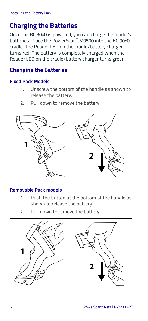### <span id="page-13-0"></span>**Charging the Batteries**

Once the BC 90x0 is powered, you can charge the reader's batteries. Place the PowerScan™ M9500 into the BC 90x0 cradle. The Reader LED on the cradle/battery charger turns red. The battery is completely charged when the Reader LED on the cradle/battery charger turns green.

### <span id="page-13-1"></span>**Changing the Batteries**

### **Fixed Pack Models**

- 1. Unscrew the bottom of the handle as shown to release the battery.
- 2. Pull down to remove the battery.



### **Removable Pack models**

- 1. Push the button at the bottom of the handle as shown to release the battery.
- 2. Pull down to remove the battery.

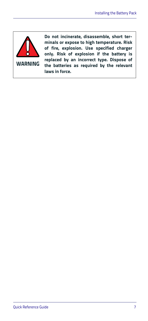

**Do not incinerate, disassemble, short terminals or expose to high temperature. Risk of fire, explosion. Use specified charger only. Risk of explosion if the battery is replaced by an incorrect type. Dispose of the batteries as required by the relevant laws in force.**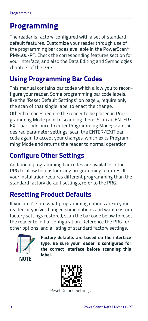# <span id="page-15-0"></span>**Programming**

The reader is factory-configured with a set of standard default features. Customize your reader through use of the programming bar codes available in the PowerScan™ PM9500-RT. Check the corresponding features section for your interface, and also the Data Editing and Symbologies chapters of the PRG.

### <span id="page-15-1"></span>**Using Programming Bar Codes**

This manual contains bar codes which allow you to reconfigure your reader. Some programming bar code labels, like the "Reset Default Settings" on page 8, require only the scan of that single label to enact the change.

Other bar codes require the reader to be placed in Programming Mode prior to scanning them. Scan an ENTER/ EXIT bar code once to enter Programming Mode; scan the desired parameter settings; scan the ENTER/EXIT bar code again to accept your changes, which exits Programming Mode and returns the reader to normal operation.

## <span id="page-15-2"></span>**Configure Other Settings**

Additional programming bar codes are available in the PRG to allow for customizing programming features. If your installation requires different programming than the standard factory default settings, refer to the PRG.

## <span id="page-15-3"></span>**Resetting Product Defaults**

If you aren't sure what programming options are in your reader, or you've changed some options and want custom factory settings restored, scan the bar code below to reset the reader to initial configuration. Reference the PRG for other options, and a listing of standard factory settings.



**Factory defaults are based on the interface type. Be sure your reader is configured for the correct interface before scanning this label.** 



Reset Default Settings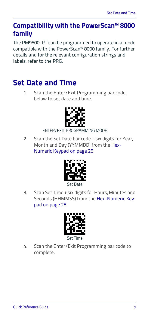### <span id="page-16-0"></span>**Compatibility with the PowerScan™ 8000 family**

The PM9500-RT can be programmed to operate in a mode compatible with the PowerScan™ 8000 family. For further details and for the relevant configuration strings and labels, refer to the PRG.

## <span id="page-16-1"></span>**Set Date and Time**

1. Scan the Enter/Exit Programming bar code below to set date and time.



### ENTER/EXIT PROGRAMMING MODE

2. Scan the Set Date bar code + six digits for Year, Month and Day (YYMMDD) from the [Hex-](#page-35-0)[Numeric Keypad on page 28.](#page-35-0)



3. Scan Set Time + six digits for Hours, Minutes and Seconds (HHMMSS) from the [Hex-Numeric Key](#page-35-0)[pad on page 28](#page-35-0).



4. Scan the Enter/Exit Programming bar code to complete.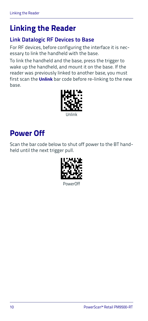# <span id="page-17-0"></span>**Linking the Reader**

### <span id="page-17-1"></span>**Link Datalogic RF Devices to Base**

For RF devices, before configuring the interface it is necessary to link the handheld with the base.

To link the handheld and the base, press the trigger to wake up the handheld, and mount it on the base. If the reader was previously linked to another base, you must first scan the **Unlink** bar code before re-linking to the new base.



# <span id="page-17-2"></span>**Power Off**

Scan the bar code below to shut off power to the BT handheld until the next trigger pull.



PowerOff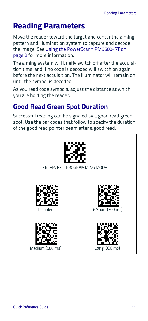## <span id="page-18-0"></span>**Reading Parameters**

Move the reader toward the target and center the aiming pattern and illumination system to capture and decode the image. See [Using the PowerScan™ PM9500-RT on](#page-9-0)  [page 2](#page-9-0) for more information.

The aiming system will briefly switch off after the acquisition time, and if no code is decoded will switch on again before the next acquisition. The illuminator will remain on until the symbol is decoded.

As you read code symbols, adjust the distance at which you are holding the reader.

### <span id="page-18-1"></span>**Good Read Green Spot Duration**

Successful reading can be signaled by a good read green spot. Use the bar codes that follow to specify the duration of the good read pointer beam after a good read.

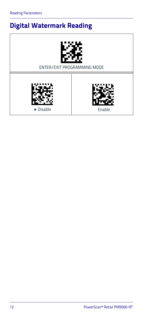# <span id="page-19-0"></span>**Digital Watermark Reading**



ENTER/EXIT PROGRAMMING MODE



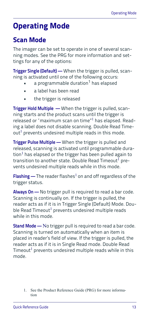# <span id="page-20-0"></span>**Operating Mode**

### <span id="page-20-1"></span>**Scan Mode**

The imager can be set to operate in one of several scanning modes. See the PRG for more information and settings for any of the options:

**Trigger Single (Default) —** When the trigger is pulled, scanning is activated until one of the following occurs:

- a programmable duration<sup>1</sup> has elapsed
- a label has been read
- the trigger is released

**Trigger Hold Multiple —** When the trigger is pulled, scanning starts and the product scans until the trigger is released or "maximum scan on time"1 has elapsed. Reading a label does not disable scanning. Double Read Time $out<sup>1</sup>$  prevents undesired multiple reads in this mode.

**Trigger Pulse Multiple —** When the trigger is pulled and released, scanning is activated until programmable duration $^1$  has elapsed or the trigger has been pulled again to transition to another state. Double Read Timeout<sup>1</sup> prevents undesired multiple reads while in this mode.

**Flashing —** The reader flashes<sup>1</sup> on and off regardless of the trigger status.

**Always On —** No trigger pull is required to read a bar code. Scanning is continually on. If the trigger is pulled, the reader acts as if it is in Trigger Single (Default) Mode. Double Read Timeout<sup>1</sup> prevents undesired multiple reads while in this mode.

**Stand Mode —** No trigger pull is required to read a bar code. Scanning is turned on automatically when an item is placed in reader's field of view. If the trigger is pulled, the reader acts as if it is in Single Read mode. Double Read Timeout<sup>1</sup> prevents undesired multiple reads while in this mode.

<sup>1.</sup> See the Product Reference Guide (PRG) for more information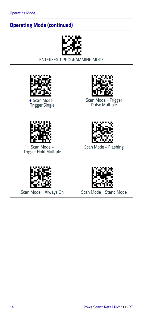### **Operating Mode (continued)**



ENTER/EXIT PROGRAMMING MODE



 $\triangle$  Scan Mode = Trigger Single



Scan Mode = Trigger Pulse Multiple



Scan Mode = Trigger Hold Multiple





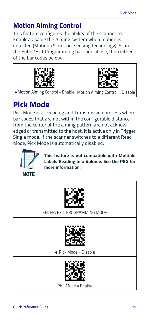### <span id="page-22-0"></span>**Motion Aiming Control**

This feature configures the ability of the scanner to Enable/Disable the Aiming system when motion is detected (Motionix™ motion-sensing technology). Scan the Enter/Exit Programming bar code above, then either of the bar codes below.





Motion Aiming Control = Enable Motion Aiming Control = Disable

# <span id="page-22-1"></span>**Pick Mode**

Pick Mode is a Decoding and Transmission process where bar codes that are not within the configurable distance from the center of the aiming pattern are not acknowledged or transmitted to the host. It is active only in Trigger Single mode. If the scanner switches to a different Read Mode, Pick Mode is automatically disabled.



**This feature is not compatible with Multiple Labels Reading in a Volume. See the PRG for more information.** 



ENTER/EXIT PROGRAMMING MODE



 $\bullet$  Plck Mode = Disable



Pick Mode = Enable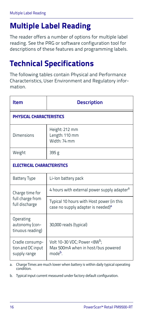# <span id="page-23-0"></span>**Multiple Label Reading**

The reader offers a number of options for multiple label reading. See the PRG or software configuration tool for descriptions of these features and programming labels.

# <span id="page-23-1"></span>**Technical Specifications**

The following tables contain Physical and Performance Characteristics, User Environment and Regulatory information.

| ltem                                                 | <b>Description</b>                                                                                  |  |
|------------------------------------------------------|-----------------------------------------------------------------------------------------------------|--|
| PHYSICAL CHARACTERISTICS                             |                                                                                                     |  |
| Dimensions                                           | Height: 212 mm<br>Length: 110 mm<br>Width: 74 mm                                                    |  |
| Weight                                               | 395 g                                                                                               |  |
| <b>ELECTRICAL CHARACTERISTICS</b>                    |                                                                                                     |  |
| <b>Battery Type</b>                                  | Li-lon battery pack                                                                                 |  |
| Charge time for                                      | 4 hours with external power supply adapter <sup>a</sup>                                             |  |
| full charge from<br>full discharge                   | Typical 10 hours with Host power (in this<br>case no supply adapter is needed) <sup>a</sup>         |  |
| Operating<br>autonomy (con-<br>tinuous reading)      | 30,000 reads (typical)                                                                              |  |
| Cradle consump-<br>tion and DC input<br>supply range | Volt 10-30 VDC; Power <8W <sup>b</sup> ;<br>Max 500mA when in host/bus powered<br>mode <sup>b</sup> |  |

a. Charge Times are much lower when battery is within daily typical operating condition.

<span id="page-23-2"></span>b. Typical input current measured under factory default configuration.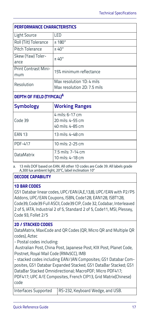| <b>PERFORMANCE CHARACTERISTICS</b>    |                                                          |  |
|---------------------------------------|----------------------------------------------------------|--|
| Light Source                          | LED                                                      |  |
| Roll (Tilt) Tolerance                 | $±180^{\circ}$                                           |  |
| Pitch Tolerance                       | $±40^{\circ}$                                            |  |
| Skew (Yaw) Toler-<br>ance             | $±40^{\circ}$                                            |  |
| Print Contrast Mini-<br>mum           | 15% minimum reflectance                                  |  |
| Resolution                            | Max resolution 1D: 4 mils<br>Max resolution 2D: 7.5 mils |  |
| DEPTH OF FIELD (TYPICAL) <sup>A</sup> |                                                          |  |
| <b>Symbology</b>                      | <b>Working Ranges</b>                                    |  |
| Code 39                               | 4 mils: 6-17 cm<br>20 mils: 4-55 cm<br>40 mils: 4-85 cm  |  |
| <b>EAN 13</b>                         | 13 mils: 4-48 cm                                         |  |
| <b>PDF-417</b>                        | 10 mils: 2-25 cm                                         |  |
| <b>DataMatrix</b>                     | 7.5 mils: 7-14 cm<br>10 mils: 4-18 cm                    |  |

a. 13 mils DOF based on EAN. All other 1D codes are Code 39. All labels grade A,300 lux ambient light, 20°C, label inclination 10°

### **DECODE CAPABILITY**

#### **1D BAR CODES**

GS1 Databar linear codes, UPC/EAN (A,E,13,8), UPC/EAN with P2/P5 Addons, UPC/EAN Coupons, ISBN, Code128, EAN128, ISBT128, Code39, Code39 Full ASCII, Code39 CIP, Code 32, Codabar, Interleaved 2 of 5, IATA, Industrial 2 of 5, Standard 2 of 5, Code11, MSI, Plessey, Code 93, Follet 2/5

#### **2D / STACKED CODES**

DataMatrix, MaxiCode and QR Codes (QR, Micro QR and Multiple QR codes), Aztec

- Postal codes including:

 Australian Post, China Post, Japanese Post, KIX Post, Planet Code, Postnet, Royal Mail Code (RM45CC), IMB

- stacked codes including EAN/JAN Composites; GS1 Databar Composites, GS1 Databar Expanded Stacked; GS1 DataBar Stacked; GS1 DataBar Stacked Omnidirectional; MacroPDF; Micro PDF417;

PDF417; UPC A/E Composites, French CIP13, Grid Matrix(Chinese) code

Interfaces Supported RS-232, Keyboard Wedge, and USB.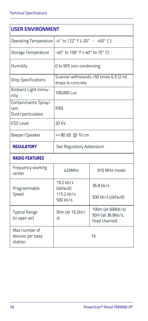| <b>USER ENVIRONMENT</b>                            |                                |                                                          |  |  |
|----------------------------------------------------|--------------------------------|----------------------------------------------------------|--|--|
| <b>Operating Temperature</b>                       |                                | $-4^{\circ}$ to 122° F (-20° - +50° C)                   |  |  |
| Storage Temperature                                | -40° to 158° F (-40° to 70° C) |                                                          |  |  |
| Humidity                                           | O to 95% non-condensing        |                                                          |  |  |
| <b>Drop Specifications</b>                         | drops to concrete              | Scanner withstands >50 times 6.5' (2 m)                  |  |  |
| Ambient Light Immu-<br>nity                        | 100,000 Lux                    |                                                          |  |  |
| Contaminants: Spray/<br>rain.<br>Dust/particulates | <b>IP65</b>                    |                                                          |  |  |
| <b>ESD Level</b>                                   | 20 KV                          |                                                          |  |  |
| Beeper/Speaker                                     | >=80 dB @ 10 cm                |                                                          |  |  |
| <b>REGULATORY</b>                                  | See Regulatory Addendum        |                                                          |  |  |
| <b>RADIO FEATURES</b>                              |                                |                                                          |  |  |
| Frequency working<br>center                        | 433MHz                         | 910 MHz model                                            |  |  |
| Programmable                                       | $19.2$ kb/s<br>(default)       | $36.8$ kb/s                                              |  |  |
| Speed                                              | 115.2 kb/s<br>500 kb/s         | 500 kb/s (default)                                       |  |  |
| <b>Typical Range</b><br>(in open air)              | 50m (at 19.2kn/<br>s)          | 100m (at 500kb/s)<br>50m (at 36.8kb/s,<br>fixed channel) |  |  |
| Max number of<br>devices per base<br>station       |                                | 16                                                       |  |  |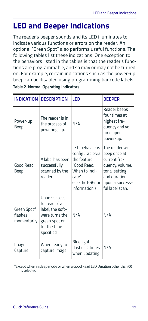# <span id="page-26-0"></span>**LED and Beeper Indications**

The reader's beeper sounds and its LED illuminates to indicate various functions or errors on the reader. An optional "Green Spot" also performs useful functions. The following tables list these indications. One exception to the behaviors listed in the tables is that the reader's functions are programmable, and so may or may not be turned on. For example, certain indications such as the power-up beep can be disabled using programming bar code labels. **Table 2. Normal Operating Indicators**

| <b>INDICATION</b>                                 | <b>DESCRIPTION</b>                                                                                                 | LED                                                                                                                               | <b>BEEPER</b>                                                                                                                             |
|---------------------------------------------------|--------------------------------------------------------------------------------------------------------------------|-----------------------------------------------------------------------------------------------------------------------------------|-------------------------------------------------------------------------------------------------------------------------------------------|
| Power-up<br>Beep                                  | The reader is in<br>the process of<br>powering-up.                                                                 | N/A                                                                                                                               | Reader beeps<br>four times at<br>highest fre-<br>quency and vol-<br>ume upon<br>power-up.                                                 |
| Good Read<br>Beep                                 | A label has been<br>successfully<br>scanned by the<br>reader.                                                      | I FD hehavior is<br>configurable via<br>the feature<br>'Good Read:<br>When to Indi-<br>cate"<br>(see the PRG for<br>information.) | The reader will<br>beep once at<br>current fre-<br>quency, volume,<br>tonal setting<br>and duration<br>upon a success-<br>ful label scan. |
| Green Spot <sup>a</sup><br>flashes<br>momentarily | Upon success-<br>ful read of a<br>label, the soft-<br>ware turns the<br>green spot on<br>for the time<br>specified | N/A                                                                                                                               | N/A                                                                                                                                       |
| Image<br>Capture                                  | When ready to<br>capture image                                                                                     | <b>Blue light</b><br>flashes 2 times<br>when updating                                                                             | N/A                                                                                                                                       |

<sup>a</sup> Except when in sleep mode or when a Good Read LED Duration other than 00 is selected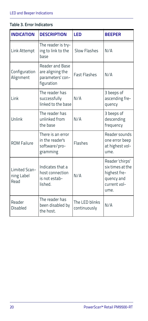| Table 3. Error Indicators |  |  |  |
|---------------------------|--|--|--|
|                           |  |  |  |

| <b>INDICATION</b>                   | <b>DESCRIPTION</b>                                                    | LED                            | <b>BEEPER</b>                                                                              |
|-------------------------------------|-----------------------------------------------------------------------|--------------------------------|--------------------------------------------------------------------------------------------|
| Link Attempt                        | The reader is try-<br>ing to link to the<br>hase                      | Slow Flashes                   | N/A                                                                                        |
| Configuration<br>Alignment          | Reader and Base<br>are aligning the<br>parameters' con-<br>figuration | <b>Fast Flashes</b>            | N/A                                                                                        |
| Link                                | The reader has<br>successfully<br>linked to the base                  | N/A                            | 3 beeps of<br>ascending fre-<br>quency                                                     |
| Unlink                              | The reader has<br>unlinked from<br>the base                           | N/A                            | 3 beeps of<br>descending<br>frequency                                                      |
| ROM Failure                         | There is an error<br>in the reader's<br>software/pro-<br>gramming     | Flashes                        | Reader sounds<br>one error beep<br>at highest vol-<br>ume.                                 |
| Limited Scan-<br>ning Label<br>Read | Indicates that a<br>host connection<br>is not estab-<br>lished.       | N/A                            | Reader 'chirps'<br>six times at the<br>highest fre-<br>quency and<br>current vol-<br>lime. |
| Reader<br>Disabled                  | The reader has<br>been disabled by<br>the host.                       | The LED blinks<br>continuously | N/A                                                                                        |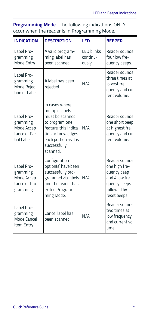**Programming Mode** - The following indications ONLY occur when the reader is in Programming Mode.

| <b>INDICATION</b>                                                    | <b>DESCRIPTION</b>                                                                                                                                                        | LED                                    | <b>BEEPER</b>                                                                                                  |
|----------------------------------------------------------------------|---------------------------------------------------------------------------------------------------------------------------------------------------------------------------|----------------------------------------|----------------------------------------------------------------------------------------------------------------|
| Label Pro-<br>gramming<br>Mode Entry                                 | A valid program-<br>ming label has<br>been scanned.                                                                                                                       | <b>LED blinks</b><br>continu-<br>ously | Reader sounds<br>four low fre-<br>quency beeps.                                                                |
| Label Pro-<br>gramming<br>Mode Rejec-<br>tion of Label               | A label has been<br>rejected.                                                                                                                                             | N/A                                    | Reader sounds<br>three times at<br>lowest fre-<br>quency and cur-<br>rent volume.                              |
| Label Pro-<br>gramming<br>Mode Accep-<br>tance of Par-<br>tial Label | In cases where<br>multiple labels<br>must be scanned<br>to program one<br>feature, this indica-<br>tion acknowledges<br>each portion as it is<br>successfully<br>scanned. | N/A                                    | Reader sounds<br>one short beep<br>at highest fre-<br>quency and cur-<br>rent volume.                          |
| Label Pro-<br>gramming<br>Mode Accep-<br>tance of Pro-<br>gramming   | Configuration<br>option(s) have been<br>successfully pro-<br>grammed via labels<br>and the reader has<br>exited Program-<br>ming Mode.                                    | N/A                                    | Reader sounds<br>one high fre-<br>quency beep<br>and 4 low fre-<br>quency beeps<br>followed by<br>reset beeps. |
| Label Pro-<br>gramming<br>Mode Cancel<br>Item Entry                  | Cancel label has<br>been scanned.                                                                                                                                         | N/A                                    | Reader sounds<br>two times at<br>low frequency<br>and current vol-<br>LIMP.                                    |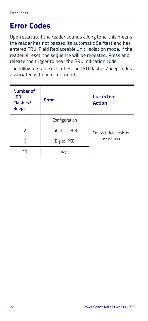# <span id="page-29-0"></span>**Error Codes**

Upon startup, if the reader sounds a long tone, this means the reader has not passed its automatic Selftest and has entered FRU (Field Replaceable Unit) isolation mode. If the reader is reset, the sequence will be repeated. Press and release the trigger to hear the FRU indication code.

The following table describes the LED flashes/beep codes associated with an error found.

| <b>Number of</b><br>LED<br>Flashes/<br><b>Beeps</b> | Error         | <b>Corrective</b><br><b>Action</b> |
|-----------------------------------------------------|---------------|------------------------------------|
|                                                     | Configuration |                                    |
| $\overline{\phantom{1}}$                            | Interface PCB | Contact Helpdesk for               |
| 6                                                   | Digital PCB   | assistance                         |
|                                                     | Imager        |                                    |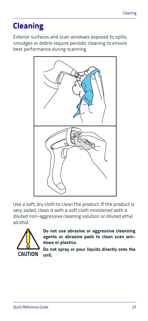# <span id="page-30-0"></span>**Cleaning**

Exterior surfaces and scan windows exposed to spills, smudges or debris require periodic cleaning to ensure best performance during scanning.



Use a soft, dry cloth to clean the product. If the product is very soiled, clean it with a soft cloth moistened with a diluted non-aggressive cleaning solution or diluted ethyl alcohol.



**Do not use abrasive or aggressive cleansing agents or abrasive pads to clean scan windows or plastics.** 

**Do not spray or pour liquids directly onto the unit.**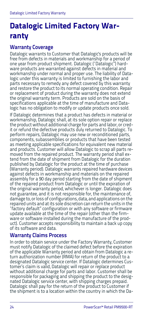# <span id="page-31-0"></span>**Datalogic Limited Factory Warranty**

### **Warranty Coverage**

Datalogic warrants to Customer that Datalogic's products will be free from defects in materials and workmanship for a period of one year from product shipment. Datalogic ("Datalogic") hardware products are warranted against defects in material and workmanship under normal and proper use. The liability of Datalogic under this warranty is limited to furnishing the labor and parts necessary to remedy any defect covered by this warranty and restore the product to its normal operating condition. Repair or replacement of product during the warranty does not extend the original warranty term. Products are sold on the basis of specifications applicable at the time of manufacture and Datalogic has no obligation to modify or update products once sold.

If Datalogic determines that a product has defects in material or workmanship, Datalogic shall, at its sole option repair or replace the product without additional charge for parts and labor, or credit or refund the defective products duly returned to Datalogic. To perform repairs, Datalogic may use new or reconditioned parts, components, subassemblies or products that have been tested as meeting applicable specifications for equivalent new material and products. Customer will allow Datalogic to scrap all parts removed from the repaired product. The warranty period shall extend from the date of shipment from Datalogic for the duration published by Datalogic for the product at the time of purchase (Warranty period). Datalogic warrants repaired hardware devices against defects in workmanship and materials on the repaired assembly for a 90 day period starting from the date of shipment of the repaired product from Datalogic or until the expiration of the original warranty period, whichever is longer. Datalogic does not guarantee, and it is not responsible for, the maintenance of, damage to, or loss of configurations, data, and applications on the repaired units and at its sole discretion can return the units in the "factory default" configuration or with any software or firmware update available at the time of the repair (other than the firmware or software installed during the manufacture of the product). Customer accepts responsibility to maintain a back up copy of its software and data.

### **Warranty Claims Process**

In order to obtain service under the Factory Warranty, Customer must notify Datalogic of the claimed defect before the expiration of the applicable Warranty period and obtain from Datalogic a return authorization number (RMA) for return of the product to a designated Datalogic service center. If Datalogic determines Customer's claim is valid, Datalogic will repair or replace product without additional charge for parts and labor. Customer shall be responsible for packaging and shipping the product to the designated Datalogic service center, with shipping charges prepaid. Datalogic shall pay for the return of the product to Customer if the shipment is to a location within the country in which the Da-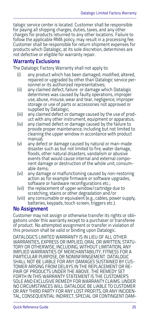talogic service center is located. Customer shall be responsible for paying all shipping charges, duties, taxes, and any other charges for products returned to any other locations. Failure to follow the applicable RMA policy, may result in a processing fee. Customer shall be responsible for return shipment expenses for products which Datalogic, at its sole discretion, determines are not defective or eligible for warranty repair.

### **Warranty Exclusions**

The Datalogic Factory Warranty shall not apply to:

- (i) any product which has been damaged, modified, altered, repaired or upgraded by other than Datalogic service personnel or its authorized representatives;
- (ii) any claimed defect, failure or damage which Datalogic determines was caused by faulty operations, improper use, abuse, misuse, wear and tear, negligence, improper storage or use of parts or accessories not approved or supplied by Datalogic;
- (iii) any claimed defect or damage caused by the use of product with any other instrument, equipment or apparatus;
- (iv) any claimed defect or damage caused by the failure to provide proper maintenance, including but not limited to cleaning the upper window in accordance with product manual;
- (v) any defect or damage caused by natural or man-made disaster such as but not limited to fire, water damage, floods, other natural disasters, vandalism or abusive events that would cause internal and external component damage or destruction of the whole unit, consumable items;
- (vi) any damage or malfunctioning caused by non-restoring action as for example firmware or software upgrades, software or hardware reconfigurations etc.;
- (vii) the replacement of upper window/cartridge due to scratching, stains or other degradation and/or
- (viii) any consumable or equivalent (e.g., cables, power supply, batteries, keypads, touch screen, triggers etc.).

### **No Assignment**

Customer may not assign or otherwise transfer its rights or obligations under this warranty except to a purchaser or transferee of product. No attempted assignment or transfer in violation of this provision shall be valid or binding upon Datalogic.

DATALOGIC'S LIMITED WARRANTY IS IN LIEU OF ALL OTHER WARRANTIES, EXPRESS OR IMPLIED, ORAL OR WRITTEN, STATU-TORY OR OTHERWISE, INCLUDING, WITHOUT LIMITATION, ANY IMPLIED WARRANTIES OF MERCHANTABILITY, FITNESS FOR A PARTICULAR PURPOSE, OR NONINFRINGEMENT. DATALOGIC SHALL NOT BE LIABLE FOR ANY DAMAGES SUSTAINED BY CUS-TOMER ARISING FROM DELAYS IN THE REPLACEMENT OR RE-PAIR OF PRODUCTS UNDER THE ABOVE. THE REMEDY SET FORTH IN THIS WARRANTY STATEMENT IS THE CUSTOMER'S SOLE AND EXCLUSIVE REMEDY FOR WARRANTY CLAIMS. UNDER NO CIRCUMSTANCES WILL DATALOGIC BE LIABLE TO CUSTOMER OR ANY THIRD PARTY FOR ANY LOST PROFITS, OR ANY INCIDEN-TAL, CONSEQUENTIAL INDIRECT, SPECIAL OR CONTINGENT DAM-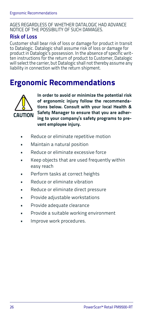#### AGES REGARDLESS OF WHETHER DATALOGIC HAD ADVANCE NOTICE OF THE POSSIBILITY OF SUCH DAMAGES.

### **Risk of Loss**

Customer shall bear risk of loss or damage for product in transit to Datalogic. Datalogic shall assume risk of loss or damage for product in Datalogic's possession. In the absence of specific written instructions for the return of product to Customer, Datalogic will select the carrier, but Datalogic shall not thereby assume any liability in connection with the return shipment.

### <span id="page-33-0"></span>**Ergonomic Recommendations**



**In order to avoid or minimize the potential risk of ergonomic injury follow the recommendations below. Consult with your local Health & Safety Manager to ensure that you are adhering to your company's safety programs to prevent employee injury.**

- Reduce or eliminate repetitive motion
- Maintain a natural position
- Reduce or eliminate excessive force
- Keep objects that are used frequently within easy reach
- Perform tasks at correct heights
- Reduce or eliminate vibration
- Reduce or eliminate direct pressure
- Provide adjustable workstations
- Provide adequate clearance
- Provide a suitable working environment
- Improve work procedures.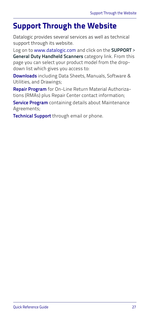## <span id="page-34-0"></span>**Support Through the Website**

Datalogic provides several services as well as technical support through its website.

Log on to [www.datalogic.com](http://www.datalogic.com/) and click on the **SUPPORT** > **General Duty Handheld Scanners** category link. From this page you can select your product model from the dropdown list which gives you access to:

**Downloads** including Data Sheets, Manuals, Software & Utilities, and Drawings;

**Repair Program** for On-Line Return Material Authorizations (RMAs) plus Repair Center contact information;

**Service Program** containing details about Maintenance Agreements;

**Technical Support** through email or phone.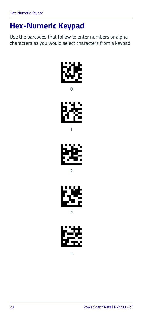# <span id="page-35-0"></span>**Hex-Numeric Keypad**

Use the barcodes that follow to enter numbers or alpha characters as you would select characters from a keypad.



 $\Omega$ 



1



2



4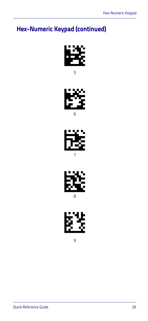# **Hex-Numeric Keypad (continued)**









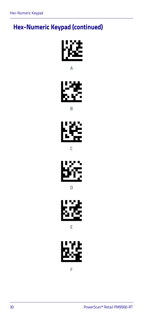## **Hex-Numeric Keypad (continued)**



A



B



C



D



E



F